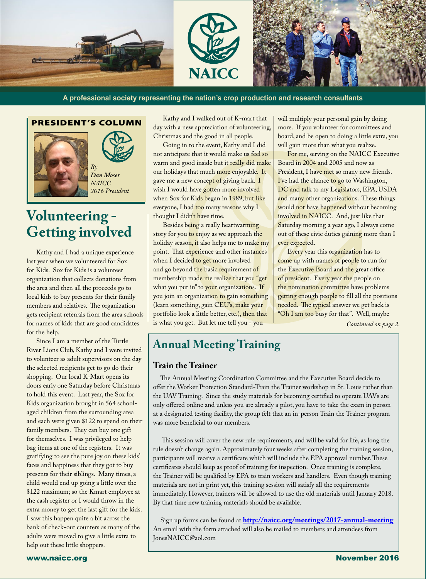

**A professional society representing the nation's crop production and research consultants**

#### PRESIDENT'S COLUMN



l,

**Volunteering - Getting involved**

Kathy and I had a unique experience last year when we volunteered for Sox for Kids. Sox for Kids is a volunteer organization that collects donations from the area and then all the proceeds go to local kids to buy presents for their family members and relatives. The organization gets recipient referrals from the area schools for names of kids that are good candidates for the help.

Since I am a member of the Turtle River Lions Club, Kathy and I were invited to volunteer as adult supervisors on the day the selected recipients get to go do their shopping. Our local K-Mart opens its doors early one Saturday before Christmas to hold this event. Last year, the Sox for Kids organization brought in 564 schoolaged children from the surrounding area and each were given \$122 to spend on their family members. They can buy one gift for themselves. I was privileged to help bag items at one of the registers. It was gratifying to see the pure joy on these kids' faces and happiness that they got to buy presents for their siblings. Many times, a child would end up going a little over the \$122 maximum; so the Kmart employee at the cash register or I would throw in the extra money to get the last gift for the kids. I saw this happen quite a bit across the bank of check-out counters as many of the adults were moved to give a little extra to help out these little shoppers.

Kathy and I walked out of K-mart that day with a new appreciation of volunteering, Christmas and the good in all people.

Going in to the event, Kathy and I did not anticipate that it would make us feel so warm and good inside but it really did make our holidays that much more enjoyable. It gave me a new concept of giving back. I wish I would have gotten more involved when Sox for Kids began in 1989, but like everyone, I had too many reasons why I thought I didn't have time.

Besides being a really heartwarming story for you to enjoy as we approach the holiday season, it also helps me to make my point. That experience and other instances when I decided to get more involved and go beyond the basic requirement of membership made me realize that you "get what you put in" to your organizations. If you join an organization to gain something (learn something, gain CEU's, make your portfolio look a little better, etc.), then that is what you get. But let me tell you - you

will multiply your personal gain by doing more. If you volunteer for committees and board, and be open to doing a little extra, you will gain more than what you realize.

For me, serving on the NAICC Executive Board in 2004 and 2005 and now as President, I have met so many new friends. I've had the chance to go to Washington, DC and talk to my Legislators, EPA, USDA and many other organizations. These things would not have happened without becoming involved in NAICC. And, just like that Saturday morning a year ago, I always come out of these civic duties gaining more than I ever expected.

Every year this organization has to come up with names of people to run for the Executive Board and the great office of president. Every year the people on the nomination committee have problems getting enough people to fill all the positions needed. The typical answer we get back is "Oh I am too busy for that". Well, maybe

*Continued on page 2.*

### **Annual Meeting Training**

#### **Train the Trainer**

The Annual Meeting Coordination Committee and the Executive Board decide to offer the Worker Protection Standard-Train the Trainer workshop in St. Louis rather than the UAV Training. Since the study materials for becoming certified to operate UAVs are only offered online and unless you are already a pilot, you have to take the exam in person at a designated testing facility, the group felt that an in-person Train the Trainer program was more beneficial to our members.

 This session will cover the new rule requirements, and will be valid for life, as long the rule doesn't change again. Approximately four weeks after completing the training session, participants will receive a certificate which will include the EPA approval number. These certificates should keep as proof of training for inspection. Once training is complete, the Trainer will be qualified by EPA to train workers and handlers. Even though training materials are not in print yet, this training session will satisfy all the requirements immediately. However, trainers will be allowed to use the old materials until January 2018. By that time new training materials should be available.

Sign up forms can be found at **<http://naicc.org/meetings/2017-annual-meeting>**  An email with the form attached will also be mailed to members and attendees from JonesNAICC@aol.com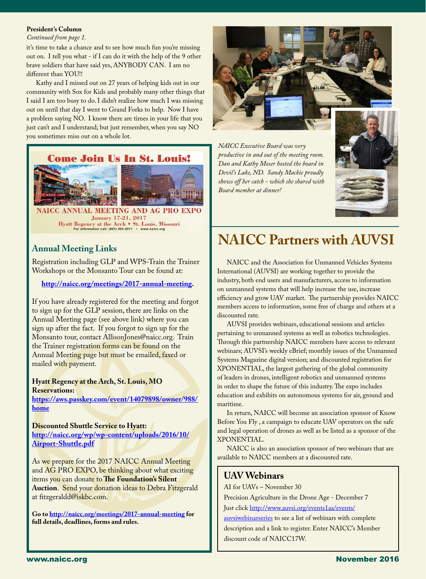#### **President's Column**

l

#### *Continued from page 1.*

it's time to take a chance and to see how much fun you're missing out on. I tell you what - if I can do it with the help of the 9 other brave soldiers that have said yes, ANYBODY CAN. I am no different than YOU!!

Kathy and I missed out on 27 years of helping kids out in our community with Sox for Kids and probably many other things that I said I am too busy to do. I didn't realize how much I was missing out on until that day I went to Grand Forks to help. Now I have a problem saying NO. I know there are times in your life that you just can't and I understand; but just remember, when you say NO you sometimes miss out on a whole lot.

#### **Come Join Us In St. Louis!**



NAICC ANNUAL MEETING AND AG PRO EX January 17-21, 2017 Hyatt Regency at the Arch • St. Louis, Missouri<br>For information call: (901) 861-0511 · www.naice.org

Registration including GLP and WPS-Train the Trainer Workshops or the Monsanto Tour can be found at:

**[http://naicc.org/meetings/2017-annual-meeting.](http://naicc.org/meetings/2017-annual-meeting)** 

If you have already registered for the meeting and forgot to sign up for the GLP session, there are links on the Annual Meeting page (see above link) where you can sign up after the fact. If you forgot to sign up for the Monsanto tour, contact AllisonJones@naicc.org. Train the Trainer registration forms can be found on the Annual Meeting page but must be emailed, faxed or mailed with payment.

#### **Hyatt Regency at the Arch, St. Louis, MO Reservations:**

**[https://aws.passkey.com/event/14079898/owner/988/](https://aws.passkey.com/event/14079898/owner/988/home ) [home](https://aws.passkey.com/event/14079898/owner/988/home )**

**Discounted Shuttle Service to Hyatt: [http://naicc.org/wp/wp-content/uploads/2016/10/](http://naicc.org/wp/wp-content/uploads/2016/10/Airport-Shuttle.pdf ) [Airport-Shuttle.pdf](http://naicc.org/wp/wp-content/uploads/2016/10/Airport-Shuttle.pdf )**

As we prepare for the 2017 NAICC Annual Meeting and AG PRO EXPO, be thinking about what exciting items you can donate to **The Foundation's Silent Auction**. Send your donation ideas to Debra Fitzgerald at fitzgeraldd@iskbc.com.

**Go to <http://naicc.org/meetings/2017-annual-meeting> for full details, deadlines, forms and rules.**



*NAICC Executive Board was very productive in and out of the meeting room. Dan and Kathy Moser hosted the board in Devil's Lake, ND. Sandy Mackie proudly shows off her catch - which she shared with Board member at dinner!*



# Annual Meeting Links **NAICC Partners with AUVSI**

NAICC and the Association for Unmanned Vehicles Systems International (AUVSI) are working together to provide the industry, both end users and manufacturers, access to information on unmanned systems that will help increase the use, increase efficiency and grow UAV market. The partnership provides NAICC members access to information, some free of charge and others at a discounted rate.

AUVSI provides webinars, educational sessions and articles pertaining to unmanned systems as well as robotics technologies. Through this partnership NAICC members have access to relevant webinars; AUVSI's weekly eBrief; monthly issues of the Unmanned Systems Magazine digital version; and discounted registration for XPONENTIAL, the largest gathering of the global community of leaders in drones, intelligent robotics and unmanned systems in order to shape the future of this industry. The expo includes education and exhibits on autonomous systems for air, ground and maritime.

In return, NAICC will become an association sponsor of Know Before You Fly , a campaign to educate UAV operators on the safe and legal operation of drones as well as be listed as a sponsor of the XPONENTIAL.

NAICC is also an association sponsor of two webinars that are available to NAICC members at a discounted rate.

### **UAV Webinars**

AI for UAVs – November 30

Precision Agriculture in the Drone Age - December 7 Just click [http://www.auvsi.org/events1aa/events/](http://www.auvsi.org/events1aa/events/auvsiwebinarseries)

[auvsiwebinarseries](http://www.auvsi.org/events1aa/events/auvsiwebinarseries) to see a list of webinars with complete description and a link to register. Enter NAICC's Member discount code of NAICC17W.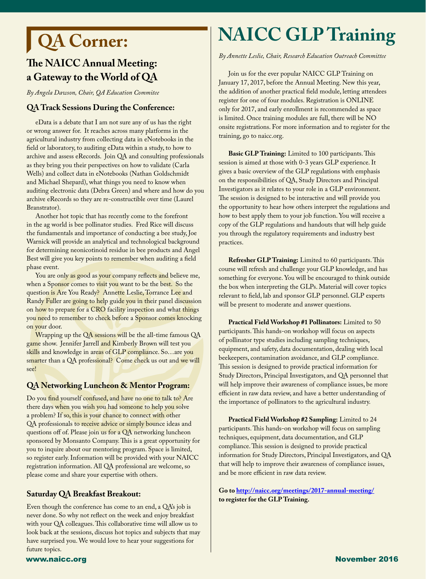# **QA Corner:**

l

### **The NAICC Annual Meeting: a Gateway to the World of QA**

*By Angela Dawson, Chair, QA Education Commitee*

#### **QA Track Sessions During the Conference:**

eData is a debate that I am not sure any of us has the right or wrong answer for. It reaches across many platforms in the agricultural industry from collecting data in eNotebooks in the field or laboratory, to auditing eData within a study, to how to archive and assess eRecords. Join QA and consulting professionals as they bring you their perspectives on how to validate (Carla Wells) and collect data in eNotebooks (Nathan Goldschmidt and Michael Shepard), what things you need to know when auditing electronic data (Debra Green) and where and how do you archive eRecords so they are re-constructible over time (Laurel Branstrator).

Another hot topic that has recently come to the forefront in the ag world is bee pollinator studies. Fred Rice will discuss the fundamentals and importance of conducting a bee study, Joe Warnick will provide an analytical and technological background for determining neonicotinoid residue in bee products and Angel Best will give you key points to remember when auditing a field phase event.

You are only as good as your company reflects and believe me, when a Sponsor comes to visit you want to be the best. So the question is Are You Ready? Annette Leslie, Torrance Lee and Randy Fuller are going to help guide you in their panel discussion on how to prepare for a CRO facility inspection and what things you need to remember to check before a Sponsor comes knocking on your door.

Wrapping up the QA sessions will be the all-time famous QA game show. Jennifer Jarrell and Kimberly Brown will test you skills and knowledge in areas of GLP compliance. So…are you smarter than a QA professional? Come check us out and we will see!

#### **QA Networking Luncheon & Mentor Program:**

Do you find yourself confused, and have no one to talk to? Are there days when you wish you had someone to help you solve a problem? If so, this is your chance to connect with other QA professionals to receive advice or simply bounce ideas and questions off of. Please join us for a QA networking luncheon sponsored by Monsanto Company. This is a great opportunity for you to inquire about our mentoring program. Space is limited, so register early. Information will be provided with your NAICC registration information. All QA professional are welcome, so please come and share your expertise with others.

#### **Saturday QA Breakfast Breakout:**

Even though the conference has come to an end, a QA's job is never done. So why not reflect on the week and enjoy breakfast with your QA colleagues. This collaborative time will allow us to look back at the sessions, discuss hot topics and subjects that may have surprised you. We would love to hear your suggestions for future topics.

# **NAICC GLP Training**

*By Annette Leslie, Chair, Research Education Outreach Committee* 

Join us for the ever popular NAICC GLP Training on January 17, 2017, before the Annual Meeting. New this year, the addition of another practical field module, letting attendees register for one of four modules. Registration is ONLINE only for 2017, and early enrollment is recommended as space is limited. Once training modules are full, there will be NO onsite registrations. For more information and to register for the training, go to naicc.org.

**Basic GLP Training:** Limited to 100 participants. This session is aimed at those with 0-3 years GLP experience. It gives a basic overview of the GLP regulations with emphasis on the responsibilities of QA, Study Directors and Principal Investigators as it relates to your role in a GLP environment. The session is designed to be interactive and will provide you the opportunity to hear how others interpret the regulations and how to best apply them to your job function. You will receive a copy of the GLP regulations and handouts that will help guide you through the regulatory requirements and industry best practices.

**Refresher GLP Training:** Limited to 60 participants. This course will refresh and challenge your GLP knowledge, and has something for everyone. You will be encouraged to think outside the box when interpreting the GLPs. Material will cover topics relevant to field, lab and sponsor GLP personnel. GLP experts will be present to moderate and answer questions.

**Practical Field Workshop #1 Pollinators:** Limited to 50 participants. This hands-on workshop will focus on aspects of pollinator type studies including sampling techniques, equipment, and safety, data documentation, dealing with local beekeepers, contamination avoidance, and GLP compliance. This session is designed to provide practical information for Study Directors, Principal Investigators, and QA personnel that will help improve their awareness of compliance issues, be more efficient in raw data review, and have a better understanding of the importance of pollinators to the agricultural industry.

**Practical Field Workshop #2 Sampling:** Limited to 24 participants. This hands-on workshop will focus on sampling techniques, equipment, data documentation, and GLP compliance. This session is designed to provide practical information for Study Directors, Principal Investigators, and QA that will help to improve their awareness of compliance issues, and be more efficient in raw data review.

**Go to [http://naicc.org/meetings/2017-annual-meeting/](http://naicc.org/meetings/2017-annual-meeting/ ) to register for the GLP Training.**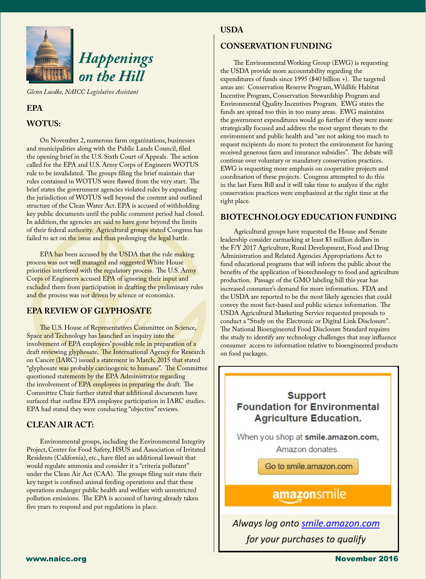

*Glenn Luedke, NAICC Legislative Assistant*

#### **EPA**

#### **WOTUS:**

On November 2, numerous farm organizations, businesses and municipalities along with the Public Lands Council, filed the opening brief in the U.S. Sixth Court of Appeals. The action called for the EPA and U.S. Army Corps of Engineers WOTUS rule to be invalidated. The groups filing the brief maintain that rules contained in WOTUS were flawed from the very start. The brief states the government agencies violated rules by expanding the jurisdiction of WOTUS well beyond the content and outlined structure of the Clean Water Act. EPA is accused of withholding key public documents until the public comment period had closed. In addition, the agencies are said to have gone beyond the limits of their federal authority. Agricultural groups stated Congress has failed to act on the issue and thus prolonging the legal battle.

EPA has been accused by the USDA that the rule making process was not well managed and suggested White House priorities interfered with the regulatory process. The U.S. Army Corps of Engineers accused EPA of ignoring their input and excluded them from participation in drafting the preliminary rules and the process was not driven by science or economics.

#### **EPA REVIEW OF GLYPHOSATE**

The U.S. House of Representatives Committee on Science, Space and Technology has launched an inquiry into the involvement of EPA employees' possible role in preparation of a draft reviewing glyphosate. The International Agency for Research on Cancer (IARC) issued a statement in March, 2015 that stated "glyphosate was probably carcinogenic to humans". The Committee questioned statements by the EPA Administrator regarding the involvement of EPA employees in preparing the draft. The Committee Chair further stated that additional documents have surfaced that outline EPA employee participation in IARC studies. EPA had stated they were conducting "objective" reviews.

#### **CLEAN AIR ACT:**

Environmental groups, including the Environmental Integrity Project, Center for Food Safety, HSUS and Association of Irritated Residents (California), etc., have filed an additional lawsuit that would regulate ammonia and consider it a "criteria pollutant" under the Clean Air Act (CAA). The groups filing suit state their key target is confined animal feeding operations and that these operations endanger public health and welfare with unrestricted pollution emissions. The EPA is accused of having already taken five years to respond and put regulations in place.

#### **USDA**

#### **CONSERVATION FUNDING**

The Environmental Working Group (EWG) is requesting the USDA provide more accountability regarding the expenditures of funds since 1995 (\$40 billion +). The targeted areas are: Conservation Reserve Program, Wildlife Habitat Incentive Program, Conservation Stewardship Program and Environmental Quality Incentives Program. EWG states the funds are spread too thin in too many areas. EWG maintains the government expenditures would go further if they were more strategically focused and address the most urgent threats to the environment and public health and "are not asking too much to request recipients do more to protect the environment for having received generous farm and insurance subsidies". The debate will continue over voluntary or mandatory conservation practices. EWG is requesting more emphasis on cooperative projects and coordination of these projects. Congress attempted to do this in the last Farm Bill and it will take time to analyze if the right conservation practices were emphasized at the right time at the right place.

#### **BIOTECHNOLOGY EDUCATION FUNDING**

Agricultural groups have requested the House and Senate leadership consider earmarking at least \$3 million dollars in the F/Y 2017 Agriculture, Rural Development, Food and Drug Administration and Related Agencies Appropriations Act to fund educational programs that will inform the public about the benefits of the application of biotechnology to food and agriculture production. Passage of the GMO labeling bill this year has increased consumer's demand for more information. FDA and the USDA are reported to be the most likely agencies that could convey the most fact-based and public science information. The USDA Agricultural Marketing Service requested proposals to conduct a "Study on the Electronic or Digital Link Disclosure". The National Bioengineered Food Disclosure Standard requires the study to identify any technology challenges that may influence consumer access to information relative to bioengineered products on food packages.

### **Support Foundation for Environmental Agriculture Education.**

When you shop at smile.amazon.com, Amazon donates.

Go to smile.amazon.com

### amazonsmile

*Always log onto [smile.amazon.com](http://smile.amazon.com) for your purchases to qualify*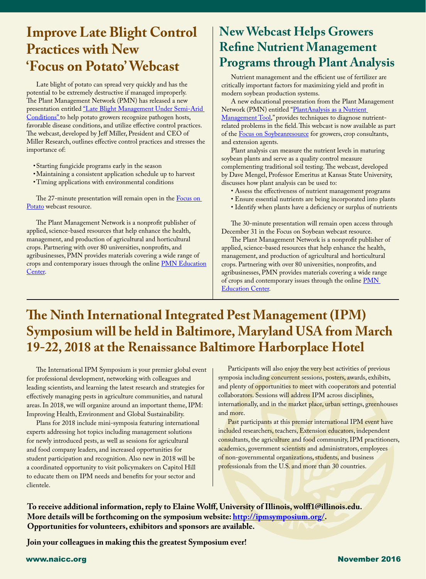## **Practices with New Improve Late Blight Control 'Focus on Potato' Webcast**

l

Late blight of potato can spread very quickly and has the potential to be extremely destructive if managed improperly. The Plant Management Network (PMN) has released a new presentation entitled "Late Blight Management Under Semi-Arid [Conditions"](http://www.plantmanagementnetwork.org/edcenter/seminars/potato/LateBlightMgtSemiAridConditions/) to help potato growers recognize pathogen hosts, favorable disease conditions, and utilize effective control practices. The webcast, developed by Jeff Miller, President and CEO of Miller Research, outlines effective control practices and stresses the importance of:

- •Starting fungicide programs early in the season
- •Maintaining a consistent application schedule up to harvest
- •Timing applications with environmental conditions

The 27-minute presentation will remain open in the **Focus on** [Potato](http://www.plantmanagementnetwork.org/fop) webcast resource.

The Plant Management Network is a nonprofit publisher of applied, science-based resources that help enhance the health, management, and production of agricultural and horticultural crops. Partnering with over 80 universities, nonprofits, and agribusinesses, PMN provides materials covering a wide range of crops and contemporary issues through the online [PMN Education](http://www.plantmanagementnetwork.org/edcenter/) [Center.](http://www.plantmanagementnetwork.org/edcenter/)

### **New Webcast Helps Growers Refine Nutrient Management Programs through Plant Analysis**

Nutrient management and the efficient use of fertilizer are critically important factors for maximizing yield and profit in modern soybean production systems.

A new educational presentation from the Plant Management Network (PMN) entitled ["PlantAnalysis as a Nutrient](hhttp://www.plantmanagementnetwork.org/edcenter/seminars/soybean/PlantAnalysis/)  [Management Tool](hhttp://www.plantmanagementnetwork.org/edcenter/seminars/soybean/PlantAnalysis/)," provides techniques to diagnose nutrientrelated problems in the field. This webcast is now available as part of the [Focus on Soybeanresource](http://www.plantmanagementnetwork.org/fos) for growers, crop consultants, and extension agents.

Plant analysis can measure the nutrient levels in maturing soybean plants and serve as a quality control measure complementing traditional soil testing. The webcast, developed by Dave Mengel, Professor Emeritus at Kansas State University, discusses how plant analysis can be used to:

- Assess the effectiveness of nutrient management programs
- Ensure essential nutrients are being incorporated into plants
- Identify when plants have a deficiency or surplus of nutrients

The 30-minute presentation will remain open access through December 31 in the Focus on Soybean webcast resource.

The Plant Management Network is a nonprofit publisher of applied, science-based resources that help enhance the health, management, and production of agricultural and horticultural crops. Partnering with over 80 universities, nonprofits, and agribusinesses, PMN provides materials covering a wide range of crops and contemporary issues through the online [PMN](http://www.plantmanagementnetwork.org/edcenter/)  [Education Center.](http://www.plantmanagementnetwork.org/edcenter/)

### **The Ninth International Integrated Pest Management (IPM) Symposium will be held in Baltimore, Maryland USA from March 19-22, 2018 at the Renaissance Baltimore Harborplace Hotel**

The International IPM Symposium is your premier global event for professional development, networking with colleagues and leading scientists, and learning the latest research and strategies for effectively managing pests in agriculture communities, and natural areas. In 2018, we will organize around an important theme, IPM: Improving Health, Environment and Global Sustainability.

Plans for 2018 include mini-symposia featuring international experts addressing hot topics including management solutions for newly introduced pests, as well as sessions for agricultural and food company leaders, and increased opportunities for student participation and recognition. Also new in 2018 will be a coordinated opportunity to visit policymakers on Capitol Hill to educate them on IPM needs and benefits for your sector and clientele.

Participants will also enjoy the very best activities of previous symposia including concurrent sessions, posters, awards, exhibits, and plenty of opportunities to meet with cooperators and potential collaborators. Sessions will address IPM across disciplines, internationally, and in the market place, urban settings, greenhouses and more.

Past participants at this premier international IPM event have included researchers, teachers, Extension educators, independent consultants, the agriculture and food community, IPM practitioners, academics, government scientists and administrators, employees of non-governmental organizations, students, and business professionals from the U.S. and more than 30 countries.

**To receive additional information, reply to Elaine Wolff, University of Illinois, wolff1@illinois.edu. More details will be forthcoming on the symposium website: <http://ipmsymposium.org/>. Opportunities for volunteers, exhibitors and sponsors are available.**

**Join your colleagues in making this the greatest Symposium ever!**